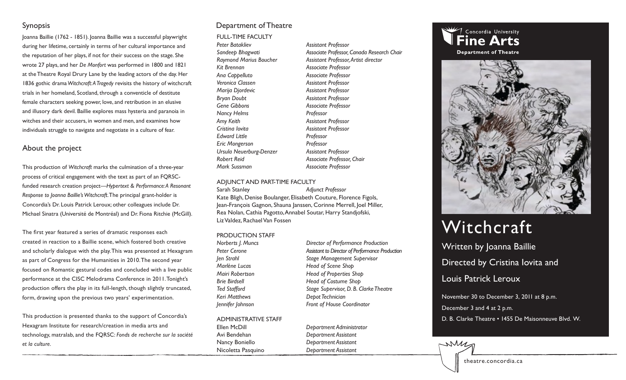#### Synopsis

Joanna Baillie (1762 - 1851). Joanna Baillie was a successful playwright during her lifetime, certainly in terms of her cultural importance and the reputation of her plays, if not for their success on the stage. She wrote 27 plays, and her *De Monfort* was performed in 1800 and 1821 at the Theatre Royal Drury Lane by the leading actors of the day. Her 1836 gothic drama *Witchcraft: A Tragedy* revisits the history of witchcraft trials in her homeland, Scotland, through a conventicle of destitute female characters seeking power, love, and retribution in an elusive and illusory dark devil. Baillie explores mass hysteria and paranoia in witches and their accusers, in women and men, and examines how individuals struggle to navigate and negotiate in a culture of fear.

### About the project

This production of *Witchcraft* marks the culmination of a three-year process of critical engagement with the text as part of an FQRSCfunded research creation project—*Hypertext & Performance: A Resonant Response to Joanna Baillie's Witchcraft*. The principal grant-holder is Concordia's Dr. Louis Patrick Leroux; other colleagues include Dr. Michael Sinatra (Université de Montréal) and Dr. Fiona Ritchie (McGill).

The first year featured a series of dramatic responses each created in reaction to a Baillie scene, which fostered both creative and scholarly dialogue with the play. This was presented at Hexagram as part of Congress for the Humanities in 2010. The second year focused on Romantic gestural codes and concluded with a live public performance at the CISC Melodrama Conference in 2011. Tonight's production offers the play in its full-length, though slightly truncated, form, drawing upon the previous two years' experimentation.

This production is presented thanks to the support of Concordia's Hexagram Institute for research/creation in media arts and technology, matralab, and the FQRSC: *Fonds de recherche sur la société et la culture.*

### Department of Theatre

FULL-TIME FACULTY

*Peter Batakliev Assistant Professor Kit Brennan Associate Professor Ana Cappelluto Associate Professor Veronica Classen Assistant Professor Marija Djordevic Assistant Professor Bryan Doubt Assistant Professor Gene Gibbons Associate Professor Nancy Helms Professor Amy Keith Assistant Professor Cristina Iovita Assistant Professor Edward Little Professor Eric Mongerson Professor Ursula Neuerburg-Denzer Assistant Professor Robert Reid Associate Professor, Chair Mark Sussman Associate Professor*

*Sandeep Bhagwati Associate Professor, Canada Research Chair* Raymond Marius Boucher **Assistant Professor, Artist director** 

#### ADJUNCT AND PART-TIME FACULTY

Sarah Stanley *Adjunct Professor* Kate Bligh, Denise Boulanger, Elisabeth Couture, Florence Figols, Jean-François Gagnon, Shauna Janssen, Corinne Merrell, Joel Miller, Rea Nolan, Cathia Pagotto, Annabel Soutar, Harry Standjofski, Liz Valdez, Rachael Van Fossen

#### PRODUCTION STAFF

*Marlène Lucas* Head of Scene Shop *Keri Matthews Depot Technician*

ADMINISTRATIVE STAFF Ellen McDill *Department Administrator* Avi Bendehan *Department Assistant*

*Norberts J. Muncs Director of Performance Production* Peter Cerone **Assistant to Director of Performance Production** *Jen Strahl Stage Management Supervisor Mairi Robertson Head of Properties Shop Brie Birdsell Head of Costume Shop Ted Stafford Stage Supervisor, D. B. Clarke Theatre Jennifer Johnson Front of House Coordinator*

Nancy Boniello *Department Assistant* Nicoletta Pasquino *Department Assistant*



**Department of Theatre** 



# Witchcraft

Written by Joanna Baillie Directed by Cristina Iovita and Louis Patrick Leroux November 30 to December 3, 2011 at 8 p.m.

December 3 and 4 at 2 p.m.

D. B. Clarke Theatre • 1455 De Maisonneuve Blvd. W.



MM